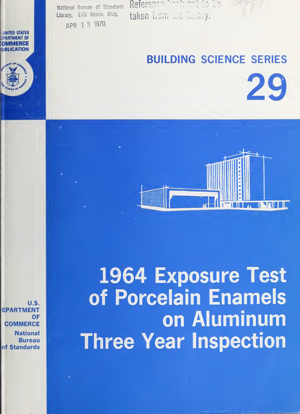**UNITED STATES** PARTMENT OF

OMMERCE **BLICATION** 

National Bureau of Standards Library, E-01 Admin. Bldg. APR 1 3 1970

Referench in di meli 10 lug taken from the lineary.

# **BUILDING SCIENCE SERIES**

20



**1964 Exposure Test** of Porcelain Enamels on Aluminum **Three Year Inspection** 

U.S. **EPARTMENT OF COMMERCE National Bureau** of Standards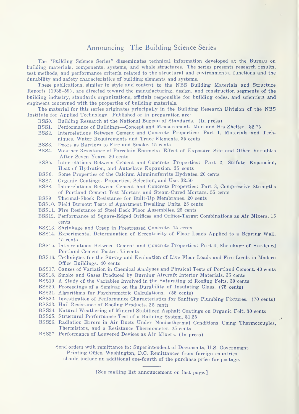#### Announcing—^The Building Science Series

The "Building Science Series" disseminates technical information developed at the Bureau on building materials, components, systems, and whole structures. The series presents research results, test methods, and performance criteria related to the structural and environmental functions and the durability and safety characteristics of building elements and systems.

These publications, similar in style and content to the NBS Building Materials and Structure Reports (1938-59), are directed toward the manufacturing, design, and construction segments of the building industry, standards organizations, officials responsible for building codes, and scientists and engineers concerned with the properties of building materials.

The material for this series originates principally in the Building Research Division of the NBS Institute for Applied Technology. Published or in preparation are:

- BSSO. Building Research at the National Bureau of Standards. (In press)
- BSS1. Performance of Buildings—Concept and Measurement. Man and His Shelter. \$2.75<br>BSS2. Interrelations Between Cement and Concrete Properties: Part 1, Materials and
- Interrelations Between Cement and Concrete Properties: Part 1, Materials and Techniques, Water Requirements and Trace Elements. 35 cents
- BSS3. Doors as Barriers to Fire and Smoke. 15 cents
- BSS4. Weather Resistance of Porcelain Enamels : Effect of Exposure Site and Other Variables After Seven Years. 20 cents
- BSS5. Interrelations Between Cement and Concrete Properties: Part 2, Sulfate Expansion, Heat of Hydration, and Autoclave Expansion. 35 cents
- BSS6. Some Properties of the Calcium Aluminoferrite Hydrates. 20 cents
- BSS7. Organic Coatings. Properties, Selection, and Use. \$2.50
- BSS8. Interrelations Between Cement and Concrete Properties: Part 3, Compressive Strengths of Portland Cement Test Mortars and Steam-Cured Mortars. 55 cents
- BSS9. Thermal-Shock Resistance for Built-Up Membranes. 20 cents
- BSSIO. Field Burnout Tests of Apartment Dwelling Units. 25 cents
- BSSll. Fire Resistance of Steel Deck Floor Assemblies. 25 cents
- BSS12. Performance of Square-Edged Orifices and Orifice-Target Combinations as Air Mixers. 15 cents
- BSS13. Shrinkage and Creep in Prestressed Concrete. 15 cents
- BSS14. Experimental Determination of Eccentricity of Floor Loads Applied to a Bearing Wall. 15 cents
- BSS15. Interrelations Between Cement and Concrete Properties: Part 4, Shrinkage of Hardened Portland Cement Pastes. 75 cents
- BSS16. Techniques for the Survey and Evaluation of Live Floor Loads and Fire Loads in Modern Office Buildings. 40 cents
- BSS17. Causes of Variation in Chemical Analyses and Physical Tests of Portland Cement. 40 cents
- BSS18. Smoke and Gases Produced by Burning Aircraft Interior Materials. 35 cents
- BSS19. A Study of the Variables Involved in the Saturating of Roofing Felts. 30 cents
- BSS20. Proceedings of a Seminar on the Durability of Insulating Glass. (75 cents)
- BSS21. Algorithms for Psychrometric Calculations. (55 cents)
- BSS22. Investigation of Performance Characteristics for Sanitary Plumbing Fixtures. (70 cents)
- BSS23. Hail Resistance of Roofing Products. 25 cents
- BSS24. Natural Weathering of Mineral Stabilized Asphalt Coatings on Organic Felt. 30 cents
- BSS25. Structural Performance Test of a Building System. \$1.25
- BSS26. Radiation Errors in Air Ducts Under Nonisothermal Conditions Using Thermocouples, Thermistors, and a Resistance Thermometer. 25 cents
- BSS27. Performance of Louvered Devices as Air Mixers. (In press)

Send orders wtih remittance to: Superintendent of Documents, U.S. Government Printing Office, Washington, D.C. Remittances from foreign countries should include an additional one-fourth of the purchase price for postage.

[See mailing list announcement on last page.]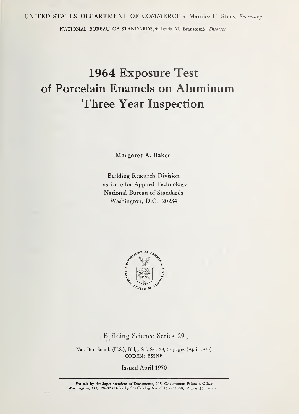UNITED STATES DEPARTMENT OF COMMERCE • Maurice H. Stans, Secretary NATIONAL BUREAU OF STANDARDS<sup>®</sup> Lewis M. Branscomb, Director

# 1964 Exposure Test of Porcelain Enamels on Aluminum Three Year Inspection

Margaret A. Baker

Building Research Division Institute for Applied Technology National Bureau of Standards Washington, D.C. 20234



## Building Science Series 29 ^

Nat. Bur. Stand. (U.S.), Bldg. Sci. Ser. 29, 13 pages (April 1970) CODEN: BSSNB

Issued April 1970

For sale by the Superintendent of Documents, U.S. Governmenr Printing Office Washington, D.C. 20402 (Order by SD Catalog No. C 13.29/2:29), Price 25 cents.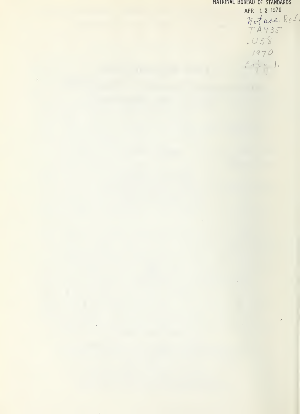NATIONAL BUREAU OF STANDARDS APR 1 3 1970<br> $\eta_{o} \frac{1}{4}$  ace,  $\text{Re} \frac{1}{4}$ ,<br> $\frac{1}{4}$   $\frac{1}{4}$   $\frac{1}{3}$  $.058$ 1970 Poky 1.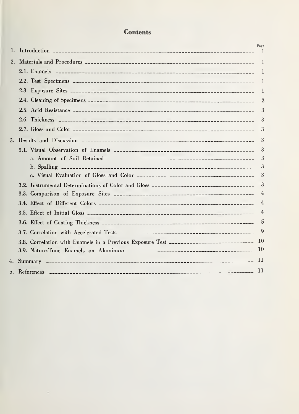|                                                                                   | Page    |
|-----------------------------------------------------------------------------------|---------|
|                                                                                   | $\perp$ |
|                                                                                   | 1       |
|                                                                                   | 1       |
|                                                                                   | 1       |
|                                                                                   | -1      |
|                                                                                   | 2       |
|                                                                                   | 3       |
|                                                                                   | 3       |
|                                                                                   | 3       |
|                                                                                   | 3       |
|                                                                                   | 3       |
|                                                                                   | 3       |
|                                                                                   | 3       |
|                                                                                   | 3       |
| 3.2. Instrumental Determinations of Color and Gloss _____________________________ | 3       |
|                                                                                   | 4       |
|                                                                                   | 4       |
|                                                                                   | 4       |
|                                                                                   | 5       |
|                                                                                   | 9       |
|                                                                                   |         |
|                                                                                   |         |
|                                                                                   |         |
|                                                                                   | -11     |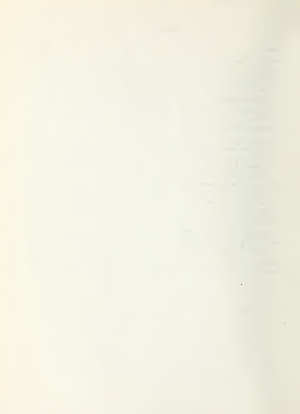$\epsilon$  $\overline{\mathcal{A}}$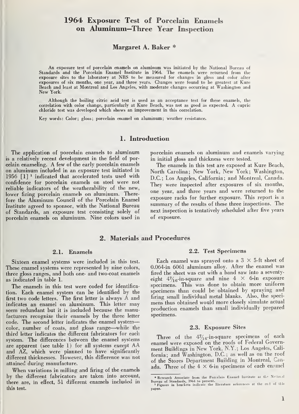### 1964 Exposure Test of Porcelain Enamels on Aluminum—Three Year Inspection

#### Margaret A. Baker \*

An exposure test of porcelain enamels on aluminum was initiated by the National Bureau of Standards and the Porcelain Enamel Institute in 1964 The enamels were returned from the exposure sites to the laboratory at NBS to be measured for changes in gloss and color after exposures of six months, one year, and three years. Changes were found to be greatest at Kure Beach and least at Montreal and Los Angeles, with moderate changes occurring at Washington and New York.

Although the boiling citric acid test is used as an acceptance test for these enamels, the correlation with color change, particularly at Kure Beach, was not as good as expected. A cupric chloride test was developed which shows an improvement in this correlation.

Key words: Color; gloss; porcelain enamel on aluminum; weather resistance.

#### 1. Introduction

The application of porcelain enamels to aluminum is a relatively recent development in the field of porcelain enameling. A few of the early porcelain enamels on aluminum included in an exposure test initiated in 1956  $[1]$ <sup>1</sup> indicated that accelerated tests used with confidence for porcelain enamels on steel were not reliable indicators of the weatherability of the new, lower firing porcelain enamels on aluminum. Therefore the Aluminum Council of the Porcelain Enamel Institute agreed to sponsor, with the National Bureau of Standards, an exposure test consisting solely of porcelain enamels on aluminum. Nine colors used in porcelain enamels on aluminum and enamels varying in initial gloss and thickness were tested.

The enamels in this test are exposed at Kure Beach, North Carolina; New York, New York; Washington, D.C.; Los Angeles, California; and Montreal, Canada. They were inspected after exposures of six months, one year, and three years and were returned to the exposure racks for further exposure. This report is a summary of the results of these three inspections. The next inspection is tentatively scheduled after five years of exposure.

#### 2, Materials and Procedures

#### 2.1. Enamels

Sixteen enamel systems were included in this test, These enamel systems were represented by nine colors, three gloss ranges, and both one- and two-coat enamels as indicated in table 1.

The enamels in this test were coded for identification. Each enamel system can be identified by the first two code letters. The first letter is always A and indicates an enamel on aluminum. This letter may seem redundant but it is included because the manufacturers recognize their enamels by the three letter code. The second letter indicates the enamel system color, number of coats, and gloss range—while the third letter indicates the different fabricators for each system. The differences between the enamel systems are apparent (see table 1) for all systems except AA and AZ, which were planned to have significantly different thicknesses. However, this difference was not attained during manufacture.

When variations in milling and firing of the enamels by the different fabricators are taken into account, there are, in effect, 51 different enamels included in this test.

#### 2.2. Test Specimens

Each enamel was sprayed onto a  $3 \times 5$ -ft sheet of 0.064-in 6061 aluminum alloy. After the enamel was fired the sheet was cut with a band saw into a seventyeight  $4\frac{7}{16}$ -in-square and nine  $4 \times 6$ -in exposure specimens. This was done to obtain more uniform specimens than could be obtained by spraying and firing small individual metal blanks. Also, the speci mens thus obtained would more closely simulate actual production enamels than small individually prepared specimens.

#### 2.3. Exposure Sites

Three of the  $4\frac{7}{16}$ -in-square specimens of each enamel were exposed on the roofs of Federal Govern ment Buildings in New York, N.Y. ; Los Angeles, Cali fornia; and Washington, D.C, ; as well as on the roof of the Stores Department Building in Montreal, Canada. Three of the  $4 \times 6$ -in specimens of each enamel

<sup>\*</sup> Research Associate from the Porcelain Enamel Institute at the National

Bureau of Standards, 1964 to present. ' Figures in brackets indicate the literature references at the er. <sup>l</sup> of tl:is paper.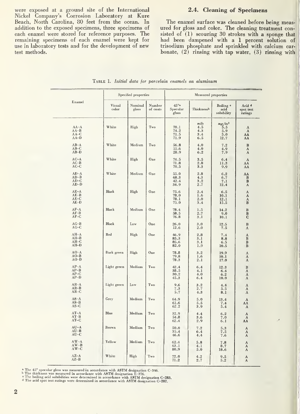were exposed at a ground site of the International Nickel Company's Corrosion Laboratory at Kure Beach, North Carolina, 80 feet from the ocean. In addition to the exposed specimens, three specimens of each enamel were stored for reference purposes. The remaining specimens of each enamel were kept for use in laboratory tests and for the development of new test methods.

#### 2.4. Cleaning of Specimens

The enamel surface was cleaned before being measured for gloss and color. The cleaning treatment consisted of (1) scouring 30 strokes with a sponge that had been dampened with a <sup>1</sup> percent solution of trisodium phosphate and sprinkled with calcium car bonate, (2) rinsing with tap water, (3) rinsing with

|                                        |                 | Specified properties |                    | Measured properties          |                                  |                                        |                                |  |
|----------------------------------------|-----------------|----------------------|--------------------|------------------------------|----------------------------------|----------------------------------------|--------------------------------|--|
| Enamel                                 | Visual<br>color | Nominal<br>gloss     | Number<br>of coats | $45°$ a<br>Specular<br>gloss | Thicknessb                       | Boiling o<br>acid<br>solubility        | Acid d<br>spot test<br>ratings |  |
| $AA-A$<br>AA-B<br>$AA-C$<br>$AA-D$     | White           | High                 | Two                | 70.1<br>74.2<br>71.5<br>71.9 | mils<br>4.5<br>4.3<br>3.4<br>6.5 | $mg/ln^2$<br>5.5<br>5.9<br>5.0<br>12.7 | A<br>A<br>AA<br>AA             |  |
| $AB - A$<br>$AB-C$<br>$AB-D$           | White           | Medium               | Two                | 56.8<br>55.6<br>28.9         | 4.0<br>4.0<br>6.2                | 7.2<br>4.9<br>7.9                      | $\, {\bf B}$<br>A<br>A         |  |
| $AC-A$<br>$AC-B$<br>$AC-C$             | White           | High                 | $_{0n}$            | 74.5<br>71.8<br>70.5         | 3.5<br>2.8<br>3.3                | 6.4<br>11.3<br>9.9                     | A<br>AA<br>AA                  |  |
| $AD-A$<br>$AD - B$<br>$AD-C$<br>$AD-D$ | White           | Medium               | One                | 55.0<br>68.3<br>42.4<br>34.9 | 2.8<br>4.3<br>3,2<br>2.7         | 6.2<br>6.7<br>7.1<br>12.4              | AA<br>B<br>в<br>A              |  |
| $AE - A$<br>$AE-B$<br>$AE-C$<br>$AE-D$ | Black           | High                 | $_{0\mathrm{ne}}$  | 75.6<br>78.0<br>78.1<br>75.0 | 2.4<br>1.6<br>2.0<br>3.4         | 6.5<br>10.1<br>12.1<br>15.5            | A<br>A<br>A<br>B               |  |
| $AF-A$<br>$AF-B$<br>$AF-C$             | Black           | Medium               | One                | 78.4<br>58.5<br>76.8         | 1.5<br>2.7<br>3.1                | 14.2<br>9.0<br>10.1                    | B<br>B<br>C                    |  |
| $AG-B$<br>AG-C                         | Black           | Low                  | One                | 26.0<br>12.6                 | 3.0<br>2.0                       | 12.5<br>7.5                            | $\bf{B}$<br>A                  |  |
| $AH-A$<br>$AH-B$<br>$AH-C$<br>AH-D     | Red             | High                 | One                | 46.9<br>85.3<br>85.6<br>82.0 | 2.8<br>3.1<br>3.1<br>1.9         | 7.4<br>8.8<br>6.5<br>10.5              | A<br>B<br>$\, {\bf B}$<br>B    |  |
| $AO-A$<br>$AO-B$<br>$AO-D$             | Dark green      | High                 | One                | 78.8<br>79.8<br>78.3         | 3.2<br>1.6<br>2.1                | 19.9<br>10.1<br>17.0                   | A<br>A<br>A                    |  |
| $AP - A$<br>$AP-B$<br>$AP-C$<br>$AP-D$ | Light green     | Medium               | Two                | 42.4<br>38.5<br>30.2<br>45.3 | 6.4<br>4.1<br>4.0<br>6.4         | 12.3<br>6.4<br>6.2<br>10.0             | $\, {\bf B}$<br>A<br>A<br>A    |  |
| $AR-A$<br>$AR-B$<br>$AR-C$             | Light green     | Low                  | Two                | 9.6<br>7.3<br>5.7            | 3.2<br>2.7<br>4.3                | 4.4<br>5.5<br>8.1                      | A<br>A<br>A                    |  |
| $AS-A$<br>$AS-B$<br>$AS-C$             | Grey            | Medium               | Two                | 64.9<br>61.6<br>62.2         | 5.0<br>5.5<br>3.9                | 13.4<br>7.4<br>5.4                     | A<br>AA<br>A                   |  |
| $AT-A$<br>$AT-B$<br>$AT-C$             | Blue            | Medium               | Two                | 32.9<br>54.8<br>62.4         | 4.4<br>3.6<br>2.9                | 6.2<br>7.0<br>6.1                      | A<br>A<br>AA                   |  |
| $AU - A$<br>$AU-B$<br>$AU-C$           | Brown           | Medium               | Two                | 50.0<br>35.4<br>46.6         | 7.2<br>6.4<br>4.4                | 5.3<br>7.5<br>7.6                      | A<br>A<br>A                    |  |
| $A W - A$<br>$AW-B$<br>$AW-C$          | Yellow          | Medium               | Two                | 62.4<br>63.1<br>80.9         | 5.8<br>4.1<br>5.0                | 7.8<br>8.7<br>18.6                     | A<br>A<br>A                    |  |
| $AZ - A$<br>$AZ-B$                     | White           | High                 | Two                | 72.0<br>71.2                 | 4.2<br>2.7                       | 9.5<br>5.2                             | A<br>A                         |  |

Table 1. Initial data for porcelain enamels on aluminum

<sup>a</sup> The 45° specular gloss was measured in accordance with ASTM designation C–346.<br><sup>b</sup> The thickness was measured in accordance with ASTM designation E–376.<br><sup>e</sup> The boiling acid solubilities were determined in accordance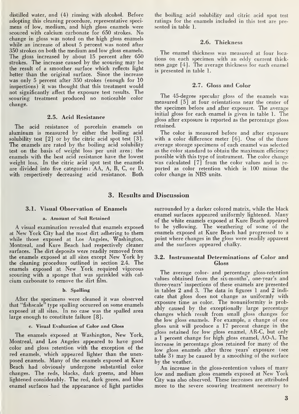distilled water, and (4) rinsing with alcohol. Before adopting this cleaning procedure, representative speci mens of low, medium, and high gloss enamels were scoured with calcium carbonate for 650 strokes. No change in gloss was noted on the high gloss enamels while an increase of about 5 percent was noted after 350 strokes on both the medium and low gloss enamels. The gloss increased by about 15 percent after 650 strokes. The increase caused by the scouring may be the result of a smoother surface which reflects light better than the original surface. Since the increase was only 5 percent after 350 strokes (enough for 10 inspections) it was thought that this treatment would not significantly affect the exposure test results. The scouring treatment produced no noticeable color change.

#### 2.5. Acid Resistance

The acid resistance of porcelain enamels on aluminum is measured by either the boiling acid solubility test [2] or by the citric acid spot test [3]. The enamels are rated by the boiling acid solubility test on the basis of weight loss per unit area; the enamels with the best acid resistance have the lowest weight loss. In the citric acid spot test the enamels are divided into five categories: AA, A, B, C, or D, with respectively decreasing acid resistance. Both

the boiling acid solubility and citric acid spot test ratings for the enamels included in this test are pre sented in table 1.

#### 2.6. Thickness

The enamel thickness was measured at four loca tions on each specimen with an eddy current thick ness gage [4]. The average thickness for each enamel is presented in table 1.

#### 2.7. Gloss and Color

The 45-degree specular gloss of the enamels was measured [5] at four orientations near the center of the specimen before and after exposure. The average initial gloss for each enamel is given in table 1. The gloss after exposure is reported as the percentage gloss retained.

The color is measured before and after exposure with a color difference meter [6]. One of the three average storage specimens of each enamel was selected as the color standard to obtain the maximum efficiency possible with this type of instrument. The color change was calculated [7] from the color values and is reported as color retention which is 100 minus the color change in NBS units.

#### 3. Results and Discussion

#### 3.1. Visual Observation of Enamels

#### a. Amount of Soil Retained

A visual examination revealed that enamels exposed at New York City had the most dirt adhering to them while those exposed at Los Angeles, Washington, Montreal, and Kure Beach had respectively cleaner surfaces. The dirt deposits were readily removed from the enamels exposed at all sites except New York by the cleaning procedure outlined in section 2.4. The enamels exposed at New York required vigorous scouring with a sponge that was sprinkled with cal cium carbonate to remove the dirt film.

#### b. Spalling

After the specimens were cleaned it was observed that "fishscale" type spalling occurred on some enamels exposed at all sites. In no case was the spalled area large enough to constitute failure [8].

#### c. Visual Evaluation of Color and Gloss

The enamels exposed at Washington, New York, Montreal, and Los Angeles appeared to have good color and gloss retention with the exception of the red enamels, which appeared lighter than the unex posed enamels. Many of the enamels exposed at Kure Beach had obviously undergone substantial color changes. The reds, blacks, dark greens, and blues lightened considerably. The red, dark green, and blue enamel surfaces had the appearance of light particles surrounded by a darker colored matrix, while the black enamel surfaces appeared uniformly lightened. Many of the white enamels exposed at Kure Beach appeared to be yellowing. The weathering of some of the enamels exposed at Kure Beach had progressed to a point where changes in the gloss were readily apparent and the surfaces appeared chalky.

#### 3.2. Instrumental Determinations of Color and **Gloss**

The average color- and percentage gloss-retention values obtained from the six-months', one-year's and three-years' inspections of these enamels are presented in tables 2 and 3. The data in figures <sup>1</sup> and 2 indi cate that gloss does not change as uniformly with exposure time as color. The nonuniformity is probably caused by the exceptionally large percentage changes which result from small gloss changes for the low gloss enamels. For example, a change of one gloss unit will produce a 17 percent change in the gloss retained for low gloss enamel, AR-C, but only a <sup>1</sup> percent change for high gloss enamel, AO-A. The increase in percentage gloss retained for many of the low gloss enamels after three years' exposure (see table 3) may be caused by a smoothing of the surface by the weather.

An increase in the gloss-rentention values of many low and medium gloss enamels exposed at New York City was also observed. These increases are attributed more to the severe scouring treatment necessary to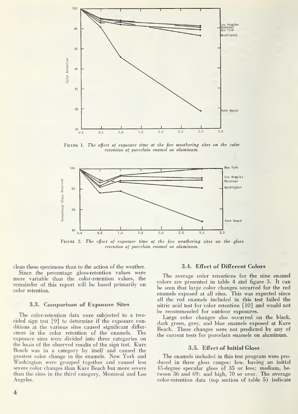

FIGURE 1. The effect of exposure time at the five weathering sites on the color retention of porcelain enamel on aluminum.



FIGURE 2. The effect of exposure time at the five weathering sites on the gloss retention of porcelain enamel on aluminum.

clean these specimens than to the action of the weather.

Since the percentage gloss-retention values were more variable than the color-retention values, the remainder of this report will be based primarily on color retention.

#### 3.3. Comparison of Exposure Sites

The color-retention data were subjected to a twosided sign test [9] to determine if the exposure conditions at the various sites caused significant differ ences in the color retention of the enamels. The exposure sites were divided into three categories on the basis of the observed results of the sign test. Kure Beach was in a category by itself and caused the greatest color change in the enamels. New York and Washington were grouped together and caused less severe color changes than Kure Beach but more severe than the sites in the third category, Montreal and Los Angeles.

#### 3.4. Effect of Different Colors

The average color retentions for the nine enamel colors are presented in table 4 and figure 3. It can be seen that large color changes occurred for the red enamels exposed at all sites. This was expected since all the red enamels included in this test failed the nitric acid test for color retention [10] and would not be recommended for outdoor exposures.

Large color changes also occurred on the blaek, dark green, grey, and blue enamels exposed at Kure Beach. These changes were not predicted by any of the current tests for porcelain enamels on aluminum.

#### 3.5. Effect of Initial Gloss

The enamels included in this test program were pro duced in three gloss ranges; low, having an initial 45-degree specular gloss of 35 or less; medium, be tween 36 and 69; and high, 70 or over. The average color-retention data (top section of table 5) indicate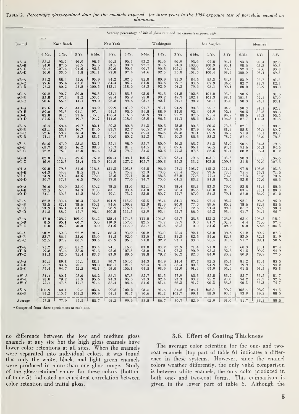|                                                                             |       |            |          |       |          |          |       | Average percentage of initial gloss retained for enamels exposed at: <sup>8</sup> |          |       |             |          |        |          |         |
|-----------------------------------------------------------------------------|-------|------------|----------|-------|----------|----------|-------|-----------------------------------------------------------------------------------|----------|-------|-------------|----------|--------|----------|---------|
| Enamel                                                                      |       | Kure Beach |          |       | New York |          |       | Washington                                                                        |          |       | Los Angeles |          |        | Montreal |         |
|                                                                             | 6-Mo. | $1-Yr$ .   | $3-Yr$ . | 6-Mo. | $1-Yr.$  | $3-Yr$ . | 6-Mo. | $1-Yr.$                                                                           | $3-Yr$ . | 6-Mo. | $1-Yr.$     | $3-Yr$ . | $6-Mo$ | $1-Yr.$  | $3-Yr.$ |
| $AA - A$                                                                    | 85.5  | 95.2       | 46.9     | 98.3  | 96.5     | 96.3     | 93.2  | 91.6                                                                              | 96.9     | 95.6  | 97.8        | 94.1     | 93.8   | 90.4     | 92.6    |
| $AA - B$                                                                    | 94.0  | 87.5       | 98.9     | 94.5  | 93.5     | 90.8     | 92.7  | 91.5                                                                              | 94.3     | 103.0 | 100.9       | 95.1     | 98.6   | 93.2     | 90.3    |
| $AA-C$                                                                      | 90.7  | 107.4      | 94.6     | 92.3  | 89.6     | 90.6     | 90.7  | 90.8                                                                              | 102.1    | 96.0  | 96.8        | 90.9     | 92,0   | 87.6     | 90.8    |
| $AA-D$                                                                      | 76.0  | 33.0       | 7.8      | 101.1 | 97.8     | 97.4     | 94.6  | 92.5                                                                              | 25.0     | 101.0 | 100.4       | 93.5     | 100.0  | 93.1     | 69.3    |
| $AB - A$                                                                    | 81.2  | 88.4       | 42.6     | 95.9  | 94.2     | 102.5    | 82.8  | 80.9                                                                              | 75.3     | 84.5  | 88.3        | 84.8     | 83.9   | 95.7     | 81.5    |
| $AB-C$                                                                      | 79.6  | 86.4       | 63.6     | 83.9  | 84.4     | 86.7     | 81.0  | 33.6                                                                              | 79.7     | 83.6  | 87.9        | 84.6     | 82.7   | 82.7     | 82.3    |
| $AB-D$                                                                      | 75.3  | 80.2       | 25.8     | 100.5 | 112.1    | 118.6    | 93.3  | 92.0                                                                              | 94.2     | 79.6  | 98.1        | 99.1     | 80.0   | 95.9     | 100.8   |
| $AC - A$                                                                    | 90.2  | 90.7       | 80.0     | 96.3  | 93.1     | 85.3     | 93.0  | 91.8                                                                              | 94.8     | 102.6 | 101.0       | 95.5     | 98.6   | 93.1     | 91.5    |
| $AC-B$                                                                      | 85.8  | 37.3       | 8.2      | 103.4 | 98.4     | 95.9     | 92.8  | 90.2                                                                              | 49.7     | 102.1 | 101.3       | 98.7     | 101.3  | 97.1     | 87.0    |
| $AC-C$                                                                      | 90.6  | 65.3       | 14.1     | 99.0  | 96.8     | 99.4     | 93.7  | 92.1                                                                              | 91.7     | 98.2  | 98.1        | 95.0     | 98.3   | 94.1     | 93.1    |
| $AD - A$                                                                    | 87.6  | 96.9       | 43.4     | 100.9 | 99.9     | 101.9    | 91.7  | 91.1                                                                              | 94.9     | 90.3  | 95.7        | 94.6     | 90.3   | 91.1     | 92.3    |
| $AD-B$                                                                      | 89.0  | 93.8       | 94.1     | 97.4  | 94.5     | 95.0     | 89.8  | 88.9                                                                              | 87.0     | 92.4  | 94.9        | 92.4     | 90.5   | 88.2     | 88.8    |
| $AD-C$                                                                      | 82.8  | 91.3       | 27.6     | 105.3 | 106.4    | 116.3    | 90.9  | 90.3                                                                              | 92.2     | 87.5  | 95.4        | 94.7     | 88.6   | 94.5     | 95.5    |
| $AD-D$                                                                      | 87.5  | 58.0       | 19.7     | 104.7 | 114.6    | 118.6    | 98.0  | 96.5                                                                              | 41.1     | 88,6  | 103.1       | 104.8    | 87.7   | 100.3    | 91.6    |
| $AE - A$                                                                    | 76.4  | 68.4       | 49.7     | 82.1  | 80.3     | 80.8     | 81.3  | 80.5                                                                              | 78.8     | 80.5  | 80.5        | 78.5     | 82.1   | 80.2     | 80.3    |
| $AE-B$                                                                      | 65.1  | 55.8       | 16.7     | 84.6  | 83.7     | 82.7     | 86.5  | 82.9                                                                              | 78.9     | 87.9  | 86.6        | 81.9     | 88.8   | 95.1     | 80.7    |
| $AE-C$                                                                      | 72.6  | 68.2       | 36.4     | 86.7  | 83.7     | 83.8     | 89.4  | 85.6                                                                              | 80.8     | 91.1  | 89.9        | 84.7     | 91.9   | 85.1     | 83,0    |
| $AE-D$                                                                      | 71.1  | 37.8       | 8.2      | 83.3  | 79.9     | 80.2     | 82.2  | 78.4                                                                              | 76.3     | 85.5  | 83.2        | 78.9     | 87.4   | 83.0     | 78.3    |
| $AF-A$                                                                      | 65.6  | 67.9       | 23.5     | 82.1  | 82.1     | 98.0     | 85.7  | 80.0                                                                              | 76.3     | 85.7  | 84.3        | 81.9     | 90.4   | 84.3     | 79.5    |
| $AF-B$                                                                      | 69.7  | 58.5       | 16.2     | 88.3  | 95.3     | 81.7     | 84.5  | 91.7                                                                              | 89.6     | 96.1  | 96.5        | 94.3     | 95.6   | 95.3     | 94.6    |
| $AF-C$                                                                      | 72.2  | 76.8       | 42.0     | 84.4  | 83.3     | 79.7     | 84.5  | 82.6                                                                              | 77.2     | 87.5  | 86.6        | 81.4     | 88.2   | 85.4     | 81.2    |
| $AG-B$                                                                      | 82.0  | 83.7       | 39.6     | 76.2  | 100.4    | 108.1    | 100.5 | 97.8                                                                              | 93.4     | 79.5  | 103,1       | 103.3    | 98.9   | 100.5    | 104.6   |
| $AC-C$                                                                      | 46.9  | 112.8      | 78.4     | 35.9  | 101.0    | 127.2    | 105.7 | 100.8                                                                             | 85.3     | 33.2  | 103.8       | 109.8    | 31.8   | 97.0     | 107.5   |
| $AH-A$                                                                      | 90.8  | 79.3       | 51.6     | 118.3 | 121.3    | 103.8    | 95.8  | 96.6                                                                              | 97.1     | 103.7 | 113.2       | 111.7    | 97.8   | 103.6    | 103.8   |
| $AH-B$                                                                      | 64.3  | 44.8       | 8.5      | 81.7  | 75.6     | 76.8     | 72.3  | 70.0                                                                              | 65.4     | 76.8  | 77.6        | 73.3     | 75.4   | 75.7     | 71.5    |
| $AH-C$                                                                      | 73.9  | 59.2       | 43.6     | 79.0  | 75.6     | 77.1     | 70.8  | 68.5                                                                              | 67.8     | 77.6  | 77.4        | 70.8     | 77.3   | 93.6     | 70.4    |
| AH-D                                                                        | 59.7  | 37.8       | 6.5      | 79.0  | 77.0     | 77.6     | 74.7  | 70.6                                                                              | 64.5     | 83.2  | 81.8        | 75.2     | 82.8   | 77.6     | 66.5    |
| $AO-A$                                                                      | 76.6  | 60.9       | 35.4     | 80.2  | 78.5     | 81.6     | 82.1  | 79.3                                                                              | 78.4     | 83.3  | 83.3        | 79.0     | 83.8   | 81.4     | 80.6    |
| $AO-B$                                                                      | 72.5  | 67.0       | 34.3     | 83.0  | 83.1     | 80.4     | 84.0  | 82.7                                                                              | 76.4     | 84.6  | 86.0        | 81.3     | 83.4   | 83.1     | 80.0    |
| $AO-D$                                                                      | 74.1  | 50.8       | 15.2     | 81.0  | 79.1     | 73.2     | 83.8  | 80.7                                                                              | 77.7     | 87.0  | 84.2        | 79.1     | 87.8   | 84.9     | 81.2    |
| $AP - A$                                                                    | 82.2  | 80.4       | 16.3     | 102.3 | 104.9    | 113.0    | 95.5  | 93.4                                                                              | 84.1     | 90.2  | 97.4        | 95.2     | 92.1   | 98.3     | 95.0    |
| $AP - B$                                                                    | 75.5  | 87.1       | 78.6     | 86.3  | 94.6     | 109.8    | 82.9  | 81.9                                                                              | 80.0     | 77.0  | 89.6        | 86.2     | 78.6   | 82.8     | 85.5    |
| $AP-C$                                                                      | 73.9  | 84.1       | 84.3     | 85.8  | 98.9     | 116.6    | 85.7  | 83.9                                                                              | 82.7     | 72.5  | 91.3        | 88.2     | 85.7   | 83.9     | 90.0    |
| $AP-D$                                                                      | 87.5  | 88.9       | 42.7     | 95.4  | 100.8    | 111.3    | 93.9  | 93.4                                                                              | 92.7     | 88.0  | 95.2        | 93.4     | 91.7   | 94.7     | 96.7    |
| $AR - A$                                                                    | 47.0  | 128.2      | 109.4    | 54.2  | 138.4    | 174.5    | 111.8 | 104.8                                                                             | 95.7     | 25.5  | 122.2       | 128.8    | 62.4   | 106.5    | 118.1   |
| $AR-B$                                                                      | 0.0   | 96.1       | 60.7     | 0.0   | 110.9    | 157.0    | 82.5  | 74.7                                                                              | 59.7     | 0.0   | 81.7        | 101.7    | 4.4    | 73.6     | 97.4    |
| $AR-C$                                                                      | 0.0   | 105.9      | 70.0     | 0.0   | 84.6     | 117.0    | 85.7  | 81.6                                                                              | 58.2     | 0.0   | 81.6        | 109.0    | $0.0$  | 69.6     | 105.3   |
| $AS-A$                                                                      | 78.2  | 59.5       | 22.2     | 91.7  | 88.3     | 93.9     | 90.2  | 93.0                                                                              | 75.4     | 92.1  | 93.0        | 88.6     | 91.2   | 89.7     | 87.3    |
| $AS-B$                                                                      | 83.7  | 86.4       | 33.6     | 85.0  | 84.5     | 92.6     | 83.0  | 82.3                                                                              | 81.3     | 82.5  | 84.6        | 82.8     | 83.0   | 82.3     | 81.9    |
| $AS-C$                                                                      | 92.5  | 97.7       | 80.7     | 90.4  | 89.9     | 96.5     | 91.8  | 92.2                                                                              | 93.1     | 93.3  | 95.5        | 91.5     | 91.7   | 89.1     | 90.6    |
| $\begin{array}{c} \text{AT--A} \\ \text{AT--B} \\ \text{AT--C} \end{array}$ | 75.2  | 93.8       | 82.2     | 80.4  | 94.1     | 116.0    | 83.8  | 83.2                                                                              | 72.9     | 71.4  | 91.0        | 87.3     | 68.3   | 83.1     | 87.4    |
|                                                                             | 79.8  | 93.4       | 38.0     | 91.5  | 95.6     | 107.3    | 93.8  | 94.1                                                                              | 97.2     | 90.9  | 95.5        | 92.8     | 91.5   | 90.9     | 94.9    |
|                                                                             | 81.5  | 82.0       | 32.4     | 83.3  | 83.0     | 89.5     | 78.8  | 79.2                                                                              | 76.2     | 82.0  | 84.0        | 80.8     | 80.9   | 79.9     | 77.5    |
| $AU - A$                                                                    | 89.1  | 89.8       | 99.1     | 88.3  | 90.7     | 104.0    | 84.3  | 84.9                                                                              | 84.4     | 87.7  | 92.5        | 86.3     | 81.2   | 83.4     | 85.5    |
| $AU-B$                                                                      | 75.7  | 93.4       | 70.1     | 98.0  | 108.1    | 121.5    | 92.4  | 91.8                                                                              | 86.4     | 80.3  | 94.9        | 94.6     | 79.9   | 89.7     | 94.2    |
| $AU-C$                                                                      | 87.4  | 94.7       | 72.3     | 95.1  | 98.0     | 106.1    | 94.5  | 93.9                                                                              | 92.9     | 91.4  | 97.9        | 95.9     | 91.5   | 93.5     | 95.3    |
| $A W - A$                                                                   | 81.4  | 80.1       | 98.0     | 86.2  | 85.1     | 87.8     | 82.7  | 81.5                                                                              | 77.9     | 85.3  | 85.8        | 83.2     | 85.7   | 83.5     | 81.7    |
| $A W - B$                                                                   | 78.8  | 79.2       | 27.9     | 95.6  | 94.3     | 95.0     | 93.3  | 92.4                                                                              | 93.3     | 93.7  | 95.2        | 93.0     | 94.2   | 92.7     | 92.4    |
| $AW-C$                                                                      | 72.1  | 47.6       | 17.7     | 91.4  | 85.4     | 86.4     | 84.6  | 81.4                                                                              | 66.3     | 91.7  | 90.3        | 85.8     | 90.3   | 86.3     | 74.7    |
| $AZ-A$                                                                      | 100.9 | 50.1       | 9.5      | 103.4 | 99.2     | 102.2    | 93.5  | 91.5                                                                              | 84.2     | 104.1 | 102.1       | 99.9     | 102.4  | 98.0     | 94.5    |
| $AZ-B$                                                                      | 94.2  | 110.7      | 102.2    | 90.9  | 64.1     | 91.7     | 90.6  | 91.2                                                                              | 101.7    | 99.1  | 98.0        | 90.8     | 93.9   | 89.2     | 88.5    |
| Average                                                                     | 75.8  | 77.9       | 47.5     | 85.7  | 93.2     | 99.6     | 88.8  | 86.7                                                                              | 80.7     | 82.9  | 92.9        | 91.0     | 81.7   | 88.3     | 88.5    |

Table 2. Percentage gloss-retained data for the enamels exposed for three years in the <sup>1964</sup> exposure test of porcelain enamel on aluminum

\* Computed from three speciamens at each site.

no diflference between the low and medium gloss enamels at any site but the high gloss enamels have lower color retentions at all sites. When the enamels were separated into individual colors, it was found that only the white, black, and light green enamels were produced in more than one gloss range. Study of the gloss-retained values for these colors (bottom of table 5) indicated no consistent correlation between color retention and initial gloss.

#### 3.6. Effect of Coating Thickness

The average color retention for the one- and twocoat enamels (top part of table 6) indicates a differ ence in these systems. However, since the enamel colors weather differently, the only valid comparison is between white enamels, the only color produced in both one- and two-coat forms. This comparison is given in the lower part of table 6. Although the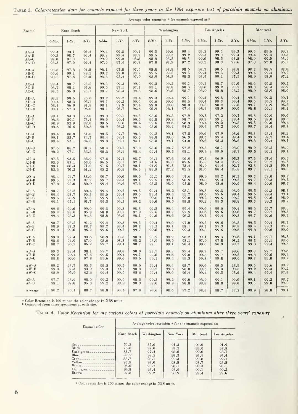|          | Average color retention <sup>a</sup> for enamels exposed at: <sup>b</sup> |            |          |       |          |         |       |            |          |       |             |          |       |          |          |
|----------|---------------------------------------------------------------------------|------------|----------|-------|----------|---------|-------|------------|----------|-------|-------------|----------|-------|----------|----------|
| Enamel   |                                                                           | Kure Beach |          |       | New York |         |       | Washington |          |       | Los Angeles |          |       | Montreal |          |
|          | 6-Mo.                                                                     | $1-Yr.$    | $3-Yr$ . | 6-Mo. | $1-Yr.$  | $3-Yr.$ | 6-Mo. | $1-Yr.$    | $3-Yr$ . | 6-Mo. | $1-Yr.$     | $3-Yr$ . | 6-Mo. | $1-Yr.$  | $3-Yr$ . |
| $AA-A$   | 99.4                                                                      | 98.1       | 96.4     | 99.4  | 99.3     | 99.1    | 99.5  | 99.6       | 99.4     | 99.5  | 99.3        | 99.3     | 99.5  | 99.6     | 99.5     |
| $AA-B$   | 99.3                                                                      | 98.7       | 96.4     | 99.7  | 99.4     | 98.9    | 99.5  | 99.3       | 99.2     | 99.3  | 99.0        | 99.3     | 99.4  | 99.4     | 99.3     |
| $AA-C$   | 99.0                                                                      | 97.0       | 95.1     | 99.2  | 99.0     | 98.8    | 98.8  | 98.8       | 98.5     | 99.0  | 98.5        | 98.8     | 98.9  | 99.0     | 98.9     |
| $AA-D$   | 98.3                                                                      | 97.0       | 96.4     | 97.9  | 97.4     | 95.8    | 97.8  | 97.9       | 97.2     | 98.2  | 98.8        | 97.6     | 97.8  | 97.8     | 96.2     |
| $AB-A$   | 98.8                                                                      | 97.8       | 94.8     | 98.1  | 97.8     | 97.0    | 98.8  | 98.8       | 98.6     | 98.7  | 98.6        | 97.8     | 98.7  | 98.5     | 97.8     |
| $AB-C$   | 99.6                                                                      | 99.1       | 99.2     | 99.2  | 99.0     | 98.7    | 99.5  | 99.5       | 99.5     | 99.4  | 99.3        | 99.3     | 99.4  | 99.4     | 99.2     |
| $AB-D$   | 98.5                                                                      | 97.6       | 95.8     | 98.3  | 98.4     | 97.9    | 98.9  | 98.8       | 98.5     | 98.4  | 99.1        | 97.5     | 98.9  | 98.9     | 97.2     |
| $AC-A$   | 99.4                                                                      | 98.7       | 96.5     | 99.3  | 99.3     | 99.0    | 99.3  | 99.2       | 99.1     | 99.1  | 98.7        | 99.0     | 98.6  | 99.3     | 99.2     |
| $AC-B$   | 98.7                                                                      | 98.1       | 97.6     | 99.0  | 97.1     | 97.1    | 99.1  | 98.8       | 98.4     | 98.6  | 99.2        | 98.2     | 99.0  | 98.4     | 97.9     |
| $AC-C$   | 98.3                                                                      | 96.9       | 95.1     | 98.7  | 98.4     | 98.3    | 98.6  | 98.6       | 98.7     | 98.9  | 98.8        | 98.2     | 98.9  | 98.9     | 98.0     |
| $AD-A$   | 98.9                                                                      | 98.6       | 96.6     | 99.2  | 99.2     | 98.4    | 99.4  | 99.4       | 99.1     | 99.4  | 99.3        | 99.4     | 99.5  | 99.3     | 99.1     |
| $AD-B$   | 99.4                                                                      | 98.3       | 95.1     | 99.1  | 99.2     | 99.0    | 99.6  | 99.6       | 99.6     | 99.4  | 99.3        | 99.4     | 99.5  | 99.5     | 99.2     |
| $AD-C$   | 98.1                                                                      | 96.9       | 91.9     | 98.1  | 97.9     | 97.4    | 99.0  | 98.8       | 98.0     | 98.5  | 98.4        | 97.6     | 99.1  | 98.9     | 95.5     |
| $AD-D$   | 98.1                                                                      | 97.3       | 96.0     | 98.1  | 96.7     | 96.6    | 96.9  | 98.1       | 97.4     | 98.4  | 98.9        | 99.0     | 98.8  | 99.1     | 98.1     |
| $AE - A$ | 99.1                                                                      | 94.3       | 79.0     | 99.8  | 99.1     | 99.5    | 98.6  | 98.8       | 97.9     | 99.8  | 97.2        | 99.1     | 99.8  | 99.9     | 99.6     |
| $AE-B$   | 98.6                                                                      | 89.1       | 73.4     | 99.6  | 99.4     | 99.6    | 99.8  | 99.8       | 98.7     | 99.7  | 99.1        | 99.4     | 99.5  | 99.0     | 99.0     |
| $AE-C$   | 98.9                                                                      | 92.9       | 82.0     | 99.6  | 99.6     | 98.4    | 99.6  | 99.6       | 98.8     | 99.4  | 99.2        | 98.8     | 99.5  | 99.0     | 99.4     |
| $AE-D$   | 98.6                                                                      | 76.6       | 50.3     | 98.9  | 98.2     | 96.4    | 98.0  | 96.4       | 94.3     | 99.4  | 97.2        | 99.0     | 99.7  | 98.4     | 98.1     |
| $AF-A$   | 98.4                                                                      | 88.8       | 61.0     | 98.5  | 97.7     | 98.3    | 99.2  | 99.1       | 97.5     | 99.6  | 97.9        | 98.6     | 99.3  | 98.4     | 98.2     |
| $AF-B$   | 99.1                                                                      | 88.7       | 84.7     | 99.4  | 98.4     | 95.3    | 98.8  | 99.0       | 96.9     | 99.3  | 99.4        | 99.4     | 99.4  | 99.7     | 99.4     |
| $AF-C$   | 98.4                                                                      | 93.1       | 84.6     | 99.3  | 98.1     | 94.1    | 98.8  | 99.1       | 94.0     | 99.6  | 98.3        | 98.6     | 99.8  | 99.4     | 99.1     |
| $AG-B$   | 97.6                                                                      | 88.2       | 81.7     | 98.4  | 98.5     | 97.0    | 98.6  | 98.7       | 97.2     | 99.3  | 98.1        | 98.0     | 98.9  | 98.5     | 98.9     |
| $AG-C$   | 98.2                                                                      | 97.1       | 83.8     | 98.3  | 98.1     | 98.4    | 99.4  | 99.5       | 98.1     | 99.4  | 99.0        | 98.7     | 99.5  | 99.5     | 99.1     |
| $AH-A$   | 97.5                                                                      | 93.5       | 85.9     | 97.6  | 97.1     | 95.7    | 98.1  | 97.6       | 96.9     | 97.4  | 96.9        | 95.3     | 97.5  | 97.4     | 95.5     |
| $AH-B$   | 93.0                                                                      | 83.1       | 63.0     | 96.6  | 95.1     | 92.9    | 94.6  | 94.0       | 89.6     | 95.5  | 94.4        | 93.9     | 95.2  | 95.2     | 93.5     |
| $AH-C$   | 90.1                                                                      | 86.3       | 71.0     | 91.5  | 90.7     | 90.1    | 91.9  | 91.5       | 73.4     | 91.9  | 91.4        | 92.7     | 92.8  | 91.8     | 90.1     |
| $AH-D$   | 83.6                                                                      | 70.2       | 61.2     | 95.2  | 90.8     | 86.3    | 88.9  | 87.2       | 82.5     | 91.0  | 88.4        | 85.8     | 89.7  | 88.1     | 80.8     |
| $AO-A$   | 95.4                                                                      | 91.7       | 83.0     | 99.7  | 99.0     | 99.0    | 99.1  | 99.0       | 97.6     | 99.9  | 99.2        | 98.3     | 99.3  | 99.0     | 99.2     |
| $AO-B$   | 99.5                                                                      | 97.3       | 87.2     | 99.7  | 99.3     | 99.1    | 99.5  | 99.7       | 98.9     | 99.8  | 99.4        | 99.5     | 99.7  | 99.3     | 99.5     |
| $A$ O-D  | 97.8                                                                      | 92.0       | 80.9     | 99.4  | 98.6     | 97.6    | 98.5  | 98.0       | 95.8     | 98.9  | 98.6        | 96.6     | 99.4  | 99.0     | 98.2     |
| $AP - A$ | 98.7                                                                      | 95.2       | 88.4     | 99.4  | 99.5     | 99.5    | 99.4  | 99.2       | 98.1     | 99.3  | 99.3        | 98.9     | 99.5  | 99.3     | 98.8     |
| $AP - B$ | 99.4                                                                      | 98.7       | 96.3     | 99.6  | 99.4     | 99.5    | 99.4  | 99.4       | 99.2     | 99.6  | 99.6        | 99.4     | 99.6  | 99.4     | 99.1     |
| $AP-C$   | 99.5                                                                      | 98.9       | 97.5     | 99.6  | 99.7     | 99.5    | 99.0  | 99.1       | 99.0     | 99.2  | 99.6        | 99.2     | 99.5  | 99.6     | 98.9     |
| $AP-D$   | 99.1                                                                      | 97.1       | 91.7     | 99.5  | 99.3     | 99.2    | 99.0  | 99.0       | 98.8     | 99.2  | 99.3        | 98.8     | 99.3  | 99.3     | 98.7     |
| $AR-A$   | 99.6                                                                      | 99.6       | 99.0     | 99.3  | 99.3     | 98.8    | 99.5  | 99.4       | 99.4     | 99.6  | 99.6        | 99.4     | 99.6  | 99.7     | 99.5     |
| $AR-B$   | 99.4                                                                      | 98.8       | 95.9     | 98.8  | 98.7     | 97.9    | 99.6  | 98.7       | 97.9     | 99.6  | 99.6        | 99.6     | 99.7  | 99.7     | 99.3     |
| $AR-C$   | 99.4                                                                      | 98.3       | 94.8     | 98.8  | 98.6     | 98.1    | 99.6  | 99.6       | 96.2     | 99.5  | 99.4        | 99.3     | 99.7  | 99.6     | 99.3     |
| $AS-A$   | 98.7                                                                      | 96.2       | 91.2     | 99.4  | 99.3     | 99.5    | 99.4  | 99.0       | 97.0     | 99.5  | 99.6        | 98.8     | 99.5  | 99.4     | 98.7     |
| $AS-B$   | 98.9                                                                      | 97.3       | 88.7     | 99.2  | 99.4     | 98.8    | 99.3  | 99.1       | 98.1     | 99.3  | 99.3        | 98.8     | 99.4  | 99.3     | 98.7     |
| $AS-C$   | 99.8                                                                      | 99.6       | 96.2     | 99.6  | 99.5     | 99.7    | 99.6  | 99.7       | 99.3     | 99.8  | 99.6        | 99.6     | 99.8  | 99.6     | 99.6     |
| $AT-A$   | 99.0                                                                      | 97.4       | 90.6     | 98.9  | 98.8     | 98.0    | 98.9  | 98.9       | 98.2     | 99.1  | 99.3        | 98.6     | 99.1  | 99.1     | 98.8     |
| $AT-B$   | 98.6                                                                      | 94.9       | 87.9     | 98.6  | 98.8     | 98.2    | 98.9  | 99.0       | 98.1     | 97.9  | 97.8        | 98.2     | 99.3  | 99.1     | 98.6     |
| $AT-C$   | 98.7                                                                      | 96.2       | 86.2     | 99.7  | 99.1     | 98.7    | 97.1  | 99.1       | 98.4     | 99.0  | 98.9        | 98.3     | 99.3  | 99.4     | 99.3     |
| $AU-A$   | 99.3                                                                      | 99.4       | 98.1     | 99.7  | 99.8     | 98.0    | 99.7  | 99.7       | 99.4     | 99.7  | 99.7        | 99.6     | 99.8  | 99.7     | 99.6     |
| $AU-B$   | 99.2                                                                      | 99.4       | 97.6     | 99.5  | 99.4     | 99.1    | 99.6  | 99.6       | 99.0     | 99.8  | 99.7        | 99.5     | 99.8  | 99.6     | 99.4     |
| $AU-C$   | 99.8                                                                      | 99.6       | 97.8     | 99.6  | 99.6     | 99.6    | 99.5  | 99.4       | 99.3     | 99.8  | 99.8        | 99.6     | 99.8  | 99.8     | 99.2     |
| $AW-A$   | 99.2                                                                      | 98.7       | 95.3     | 99.5  | 99.5     | 99.0    | 99.4  | 99.4       | 98.7     | 99.6  | 99.5        | 98.9     | 99.6  | 99.6     | 99.2     |
| $A$ W-B  | 99.3                                                                      | 97.3       | 93.9     | 99.3  | 99.2     | 98.8    | 99.2  | 99.0       | 98.8     | 99.3  | 99.3        | 98.8     | 99.2  | 99.3     | 99.2     |
| $AW-C$   | 98.9                                                                      | 95.9       | 92.6     | 99.4  | 99.0     | 98.6    | 99.4  | 99.0       | 96.4     | 99.4  | 99.5        | 98.6     | 99.4  | 99.4     | 97.8     |
| $AZ-A$   | 97.7                                                                      | 98.9       | 98.0     | 99.2  | 99.0     | 98.5    | 99.3  | 99.2       | 99.0     | 98.9  | 99.1        | 99.0     | 99.1  | 99.2     | 98.2     |
| $AZ-B$   | 99.1                                                                      | 97.8       | 95.3     | 99.2  | 98.9     | 98.9    | 99.0  | 98.9       | 98.8     | 98.8  | 98.8        | 99.0     | 99.3  | 99.0     | 99.0     |
| Average  | 98.2                                                                      | 95.1       | 88.7     | 98.8  | 98.4     | 97.8    | 98.6  | 98.6       | 97.2     | 98.9  | 98.7        | 98.2     | 98.9  | 98.8     | 98.1     |

Table 4. Color Retention for the various colors of porcelain enamels on aluminum after three years' exposure

Kure Beach | Washington | New York | Montreal | Los Angeles

Enamel color **Average color retention**  $\bullet$  for the enamels exposed at:

Red 70.3 85.6 91 .3 90.0 91.9 Black 75.6 97.0 97 .2 99.0 98.8 Dark green 83.7 97.4 98 .6 99.0 98.1

Grev\_ \_ 88.7 98.1 99 .3 99.0 99.1 Yellow.. 93.9 98.0 <sup>98</sup> .8 98.7 98.8 White 96.0 98.7 <sup>98</sup> .1 98.3 98.5 Light green. . . . . . . . . . . . 94.8 98.4 98.9 99.1 99.2<br>Browu . . . . . . . . . . . . . . 97.8 99.2 98.9 99.4 99.6

Table 3. Color-retention data for enamels exposed for three years in the 1964 exposure test of porcelain enamels on aluminum

\* Color retention is 100 minus the color change in NBS units.

Blue 88.2 98.2 98 .3 98.9 98.4

<sup>a</sup> Color Retention is 100 minus the color change in NBS units.<br><sup>b</sup> Computed from three specimens at each site.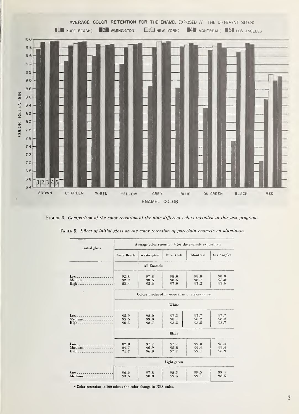

FIGURE 3. Comparison of the color retention of the nine different colors included in this test program.

|  | TABLE 5. Effect of initial gloss on the color retention of porcelain enamels on aluminum |  |  |  |  |  |  |  |
|--|------------------------------------------------------------------------------------------|--|--|--|--|--|--|--|
|--|------------------------------------------------------------------------------------------|--|--|--|--|--|--|--|

| Initial gloss                                                                                    | Average color retention <sup>a</sup> for the enamels exposed at: |                      |                      |                      |                      |  |  |  |
|--------------------------------------------------------------------------------------------------|------------------------------------------------------------------|----------------------|----------------------|----------------------|----------------------|--|--|--|
|                                                                                                  | Kure Beach                                                       | Washington           | New York             | Montreal             | Los Angeles          |  |  |  |
|                                                                                                  |                                                                  | <b>All Enamels</b>   |                      |                      |                      |  |  |  |
| $Law$ $10W$<br>$M$ edium<br>$High$ <sub>----------------</sub>                                   | 92.8<br>92.9<br>83.4                                             | 97.8<br>98.5<br>95.6 | 98.0<br>98.5<br>97.0 | 98.8<br>98.7<br>97.2 | 98.8<br>98.8<br>97.6 |  |  |  |
|                                                                                                  | Colors produced in more than one gloss range                     |                      |                      |                      |                      |  |  |  |
|                                                                                                  |                                                                  |                      | White                |                      |                      |  |  |  |
| $Low$ -----------------<br>Medium<br>$High$ <sub>-------------</sub>                             | 95.9<br>95.5<br>96.3                                             | 98.0<br>99.0<br>98.7 | 97.3<br>98.1<br>98.3 | 97.7<br>98.2<br>98.5 | 97.7<br>98.2<br>98.7 |  |  |  |
|                                                                                                  |                                                                  |                      | Black                |                      |                      |  |  |  |
| $Low$ ----------------<br>$Median$ <sub>-------------</sub><br>$High$ <sub>---------------</sub> | 82.8<br>84.7<br>71.7                                             | 97.7<br>96.9<br>96.9 | 97.7<br>95.8<br>97.7 | 99.0<br>99.4<br>99.1 | 98.4<br>99.4<br>98.9 |  |  |  |
|                                                                                                  |                                                                  |                      | Light green          |                      |                      |  |  |  |
| $Low$ ----------------<br>$Median$ <sub>----------</sub>                                         | 96.6<br>93.5                                                     | 97.8<br>98.8         | 98.3<br>99.4         | 99.5<br>99.1         | 99.4<br>98.5         |  |  |  |

\* Color retention is 100 minus the color change in NBS units.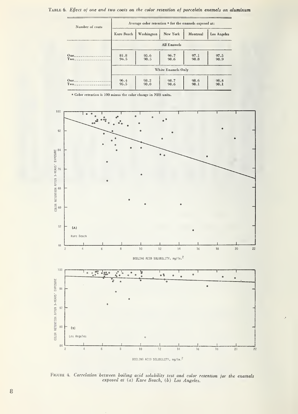| Number of coats                                                           | Average color retention <sup>a</sup> for the enamels exposed at: |              |              |              |              |  |  |  |  |
|---------------------------------------------------------------------------|------------------------------------------------------------------|--------------|--------------|--------------|--------------|--|--|--|--|
|                                                                           | Kure Beach                                                       | Washington   | New York     | Montreal     | Los Angeles  |  |  |  |  |
|                                                                           |                                                                  | All Enamels  |              |              |              |  |  |  |  |
| One <sub>--------------</sub><br>$Two$ <sub>2</sub> - - - - - - - - - - - | 81.8<br>94.5                                                     | 95.6<br>98.5 | 96.7<br>98.6 | 97.1<br>98.8 | 97.5<br>98.9 |  |  |  |  |
|                                                                           | White Enamels Only                                               |              |              |              |              |  |  |  |  |
| $One$ <sub>-----------</sub><br>Two                                       | 96.4<br>95.5                                                     | 98.2<br>98.0 | 98.7<br>98.6 | 98.6<br>98.1 | 98.4<br>98.1 |  |  |  |  |

Table 6. Effect of one and two coats on the color retention of porcelain enamels on aluminum

^ Color retention is 100 minus the color change in NBS units.



FIGURE 4. Correlation between boiling acid solubility test and color retention for the enamels<br>exposed at (a) Kure Beach, (b) Los Angeles.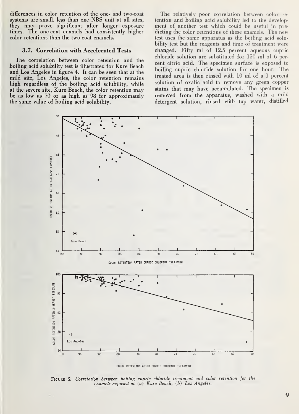differences in color retention of the one- and two-coat systems are small, less than one NBS unit at all sites, they may prove significant after longer exposure times. The one-coat enamels had consistently higher color retentions than the two-coat enamels.

#### 3.7. Correlation with Accelerated Tests

The correlation between color retention and the boiling acid solubility test is illustrated for Kure Beach and Los Angeles in figure 4. It can be seen that at the mild site, Los Angeles, the color retention remains high regardless of the boiling acid solubility, while at the severe site, Kure Beach, the color retention may be as low as 70 or as high as 98 for approximately the same value of boiling acid solubility.

The relatively poor correlation between color re tention and boiling acid solubility led to the development of another test which could be useful in pre dicting the color retentions of these enamels. The new test uses the same apparatus as the boiling acid solubility test but the reagents and time of treatment were changed. Fifty ml of 12.5 percent aqueous cupric chloride solution are substituted for 150 ml of 6 per cent citric acid. The specimen surface is exposed to boiling cupric chloride solution for one hour. The treated area is then rinsed with 10 ml of a <sup>1</sup> percent solution of oxalic acid to remove any green copper stains that may have accumulated. The specimen is removed from the apparatus, washed with a mild detergent solution, rinsed with tap water, distilled



FIGURE 5. Correlation between boiling cupric chloride treatment and color retention for the enamels exposed at (a) Kure Beach, (b) Los Angeles.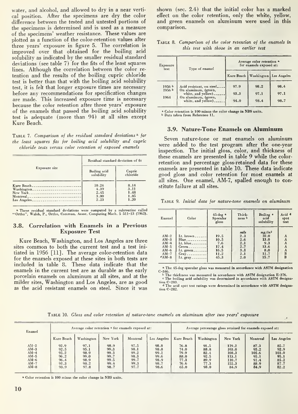water, and alcohol, and allowed to dry in a near verti cal position. After the specimens are dry the color difference between the tested and untested portions of the specimens is determined and is used as a measure of the specimens' weather resistance. These values are plotted as a function of the color-retention values after three years' exposure in figure 5. The correlation is improved over that obtained for the boiling acid solubility as indicated by the smaller residual standard deviations (see table 7) for the fits of the least squares lines. Although the correlation between the color re tention and the results of the boiling cupric chloride test is better than that with the boiling acid solubility test, it is felt that longer exposure times are necessary before any recommendations for specification changes are made. This increased exposure time is necessary because the color retention after three years' exposure of the enamels that passed the boiling acid solubility test is adequate (more than 94) at all sites except Kure Beach.

TABLE 7. Comparison of the residual standard deviations  $\alpha$  for the least squares fits for boiling acid solubility and cupric chloride tests versus color retention of exposed enamels

|                                                                                                                | Residual standard deviation of fit    |                                      |  |  |  |
|----------------------------------------------------------------------------------------------------------------|---------------------------------------|--------------------------------------|--|--|--|
| Exposure site                                                                                                  | Boiling acid<br>solubility            | Cupric<br>chloride                   |  |  |  |
| Kure Beach___________________________<br>New York____________________________<br>$Montreal_{\_{}{}^{}_{\_{}}}$ | 10.24<br>4.39<br>2.45<br>3.00<br>2.23 | 8.14<br>3.11<br>1.48<br>1.85<br>1.20 |  |  |  |

\* These residual standard deviations were computed hy a subroutine called \*'Ortho", Walsh^ P., Ortho, Commun. Assoc. Computing Mach. 5 511-13 (1962).

#### 3.8. Correlation with Enamels in a Previous Exposure Test

Kure Beach, Washington, and Los Angeles are three sites common to both the current test and a test ini tiated in 1956 [11]. The average color-retention data for the enamels exposed at these sites in both tests are included in table 8. These data indicate that the enamels in the current test are as durable as the early porcelain enamels on aluminum at all sites, and at the milder sites, Washington and Los Angeles, are as good as the acid resistant enamels on steel. Since it was

shown (sec. 2.4) that the initial color has a marked effect on the color retention, only the white, yellow, and green enamels on aluminum were used in this comparison.

| TABLE 8. Comparison of the color retention of the enamels in |  |
|--------------------------------------------------------------|--|
| this test with those in an earlier test                      |  |

| Exposure<br>test | Type of enamel                                   | Average color retention a<br>for enamels exposed at: |                               |      |  |  |  |
|------------------|--------------------------------------------------|------------------------------------------------------|-------------------------------|------|--|--|--|
|                  |                                                  | Kure Beach                                           | <b>Washington</b> Los Angeles |      |  |  |  |
| 1956 b<br>1956 b | Acid resistant, on steel<br>On aluminum, (green, | 97.9                                                 | 98.2                          | 98.4 |  |  |  |
|                  | white, and yellow) $_{--}$                       | 93.3                                                 | 97.1                          | 97.1 |  |  |  |
| 1964             | On aluminum, (green,<br>white, and yellow)_      | 94.0                                                 | 98.4                          | 98.7 |  |  |  |

<sup>a</sup> Color retention is 100 minus the color change in NBS units, b Data taken from Reference 11.

#### 3.9. Nature-Tone Enamels on Aluminum

Seven nature-tone or mat enamels on aluminum were added to the test program after the one-year inspection. The initial gloss, color, and thickness of these enamels are presented in table 9 while the color retention and percentage gloss-retained data for these enamels are presented in table 10. These data indicate good gloss and color retention for most enamels at all sites. One enamel, AM-7, spalled enough to constitute failure at all sites.

Table 9. Initial data for nature-tone enamels on aluminum

| Enamel                                                             | Color                                                                                                                                                                       | $45-deg$ a<br>Specular<br>gloss                     | Thick-<br>ness b                                      | Boiling o<br>acid<br>solubility                                 | Acid d<br>spot<br>test |
|--------------------------------------------------------------------|-----------------------------------------------------------------------------------------------------------------------------------------------------------------------------|-----------------------------------------------------|-------------------------------------------------------|-----------------------------------------------------------------|------------------------|
| $AM-2$<br>$AM-3$<br>$AM-4$<br>$AM-5$<br>$AM-6$<br>$AM-7$<br>$AM-8$ | Lt. brown_____.<br>$Blue_{-}$ ---------<br>Lt. blue________<br>$Green_{\texttt{---}}$<br>Lt. green________<br>$Gray$ <sub>---------</sub><br>Lt. $gray$ <sub>--------</sub> | 19.5<br>10.5<br>7.6<br>17.4<br>16.5<br>11.2<br>45.3 | mils<br>2.3<br>2.6<br>2.1<br>2.7<br>3.1<br>2.1<br>2.0 | $mg/ln^2$<br>10.0<br>13.0<br>9.3<br>13.6<br>8.0<br>11.7<br>15.7 | A<br>R<br>$\mathbf{R}$ |

» The 45-deg specular gloss was measured in accordance with ASTM designation

C-346.<br>
b The thickness was measured in accordance with ASTM designation E-376.<br>
\* The boiling acid solubility was determined in accordance with ASTM designa-<br>
tion C-283.

<sup>d</sup> The acid spot test ratings were determined in accordance with ASTM designation C-282.

TABLE 10. Gloss and color retention of nature-tone enamels on aluminum after two years' exposure

| Enamel                                                              | Average color retention <sup>a</sup> for enamels exposed at: |                                                      |                                                      |                                                      |                                                      | Average percentage gloss retained for enamels exposed at: |                                                      |                                                            |                                                       |                                                       |
|---------------------------------------------------------------------|--------------------------------------------------------------|------------------------------------------------------|------------------------------------------------------|------------------------------------------------------|------------------------------------------------------|-----------------------------------------------------------|------------------------------------------------------|------------------------------------------------------------|-------------------------------------------------------|-------------------------------------------------------|
|                                                                     | Kure Beach                                                   | Washington                                           | New York                                             | Montreal                                             | Los Angeles                                          | Kure Beach                                                | Washington                                           | New York                                                   | Montreal                                              | Los Angeles                                           |
| $A^M-2$<br>$AM-3$<br>$AM-4$<br>$AM-5$<br>$AM-6$<br>$AM-7$<br>$AM-8$ | 92.9<br>92.5<br>95.2<br>96.2<br>96.4<br>91.3<br>93.9         | 97.1<br>95.1<br>98.9<br>99.0<br>98.9<br>98.2<br>97.8 | 98.9<br>99.3<br>99.3<br>99.7<br>99.5<br>99.4<br>98.7 | 97.5<br>98.1<br>99.2<br>98.3<br>99.7<br>99.3<br>97.7 | 98.8<br>98.8<br>99.1<br>99.6<br>98.9<br>98.7<br>98.6 | 76.8<br>74.0<br>79.9<br>88.0<br>77.3<br>76.6<br>65.0      | 91.5<br>88.8<br>82.4<br>92.5<br>89.9<br>77.3<br>93.0 | 119.2<br>103.0<br>108.3<br>113.1<br>110.7<br>155.3<br>84.9 | 87.3<br>95.2<br>105.6<br>95.1<br>91.4<br>88.9<br>84.9 | 85.7<br>92.9<br>103.0<br>95.1<br>85.2<br>87.7<br>82.2 |

\* Color retention is 100 minus the color change in NBS units.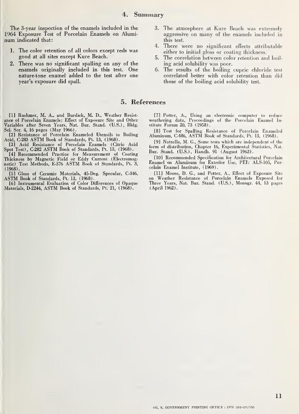The 3-year inspection of the enamels included in the 1964 Exposure Test of Porcelain Enamels on Alumi num indicated that:

- 1. The color retention of all colors except reds was good at all sites except Kure Beach.
- 2. There was no significant spalling on any of the enamels originally included in this test. One nature-tone enamel added to the test after one year's exposure did spall.
- 3. The atmosphere at Kure Beach was extremely aggressive on many of the enamels included in this test.
- 4. There were no significant effects attributable either to initial gloss or coating thickness.
- The correlation between color retention and boiling acid solubility was poor.
- 6. The results of the boiling cupric chloride test correlated better with color retention than did those of the boiling acid solubility test.

#### 5. References

[1] Rushmer, M. A., and Burdick, M. D., Weather Resist- ance of Porcelain Enamels: Effect of Exposure Site and Other Variables after Seven Years, Nat. Bur. Stand. (U.S.), Bldg. Sci. Ser. 4, 16 pages (May 1966).

[2] Resistance of Porcelain Enameled Utensils to Boiling Acid, C-283 ASTM Book of Standards, Pt. 13, (1968).

[3] Acid Resistance of Porcelain Enamels (Citric Acid

Spot Test), C-282 ASTM Book of Standards, Pt. 13, (1968). [4] Recommended Practice for Measurement of Coating Thickness by Magnetic Field or Eddy Current (Electromagnetic) Test Methods, E-376 ASTM Book of Standards, Pt. 3,

(1968).<br>[5] Gloss of Ceramic Materials, 45-Deg. Specular, C-346, [5] Gloss of Ceramic Materials, 45-Deg. Specular, C-346, ASTM Book of Standards, Pt. 13, (1968). [6] Instrumental Evaluation of Color Differences of Opaque

Materials, D-2244, ASTM Book of Standards, Pt. 21, (1968).

[7] Potter, A., Using an electronic computer to reduce weathering data. Proceedings of the Porcelain Enamel In stitute Forum 20, 73 (1958).

[8] Test for Spalling Resistance of Porcelain Enameled Aluminum, C-486, ASTM Book of Standards, Pt. 13, (1968).

[9] Natrella, M. G., Some tests v^hich are independent of the form of distribution, Chapter 16, Experimental Statistics, Nat. Bur. Stand. (U.S.), Handb. 91 (August 1963).

[10] Recommended Specification for Architectural Porcelain Enamel on Aluminum for Exterior Use, PEI: ALS-105, Porcelain Enamel Institute, (1969)

[11] Moore, D. G., and Potter, A., Effect of Exposure Site on Weather Resistance of Porcelain Enamels Exposed for Three Years, Nat. Bur. Stand. (U.S.), Monogr. 44, 13 pages (April 1962).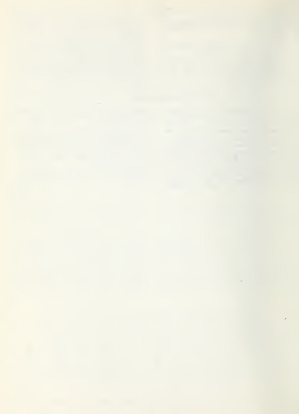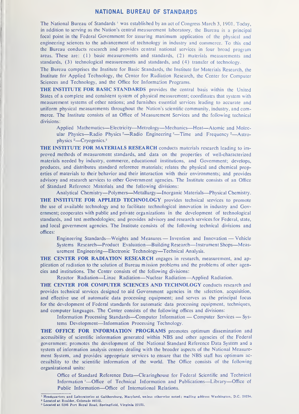#### NATIONAL BUREAU OF STANDARDS

The National Bureau of Standards ' was established by an act of Congress March 3, 1901 . Today, in addition to serving as the Nation's central measurement laboratory, the Bureau is a principal focal point in the Federal Government for assuring maximum application of the physical and engineering sciences to the advancement of technology in industry and commerce. To this end the Bureau conducts research and provides central national services in four broad program areas. These are: (1) basic measurements and standards, (2) materials measurements and standards, (3) technological measurements and standards, and (4) transfer of technology.

The Bureau comprises the Institute for Basic Standards, the Institute for Materials Research, the Institute for Applied Technology, the Center for Radiation Research, the Center for Computer Sciences and Technology, and the Office for Information Programs.

THE INSTITUTE FOR BASIC STANDARDS provides the central basis within the United States of a complete and consistent system of physical measurement; coordinates that system with measurement systems of other nations; and furnishes essential services leading to accurate and uniform physical measurements throughout the Nation's scientific community, industry, and commerce. The Institute consists of an Office of Measurement Services and the following technical divisions:

Applied Mathematics—Electricity—Metrology—Mechanics—Heat—Atomic and Molecular Physics—Radio Physics  $2$ —Radio Engineering  $2$ —Time and Frequency  $2$ —Astrophysics  $2$ —Cryogenics.<sup>2</sup>

THE INSTITUTE FOR MATERIALS RESEARCH conducts materials research leading to im proved methods of measurement standards, and data on the properties of well-characterized materials needed by industry, commerce, educational institutions, and Government; develops, produces, and distributes standard reference materials; relates the physical and chemical properties of materials to their behavior and their interaction with their environments; and provides advisory and research services to other Government agencies. The Institute consists of an Office of Standard Reference Materials and the following divisions:

Analytical Chemistry—Polymers—Metallurgy—Inorganic Materials—Physical Chemistry. THE INSTITUTE FOR APPLIED TECHNOLOGY provides technical services to promote the use of available technology and to facilitate technological innovation in industry and Government; cooperates with public and private organizations in the development of technological standards, and test methodologies; and provides advisory and research services for Federal, state, and local government agencies. The Institute consists of the following technical divisions and offices:

Engineering Standards—Weights and Measures — Invention and Innovation — Vehicle Systems Research—Product Evaluation—Building Research—Instrument Shops—Measurement Engineering—Electronic Technology—Technical Analysis.

THE CENTER FOR RADIATION RESEARCH engages in research, measurement, and application of radiation to the solution of Bureau mission problems and the problems of other agencies and institutions. The Center consists of the following divisions:

Reactor Radiation—Linac Radiation—Nuclear Radiation—Applied Radiation.

THE CENTER FOR COMPUTER SCIENCES AND TECHNOLOGY conducts research and provides technical services designed to aid Government agencies in the selection, acquisition, and effective use of automatic data processing equipment; and serves as the principal focus for the development of Federal standards for automatic data processing equipment, techniques, and computer languages. The Center consists of the following offices and divisions:

Information Processing Standards—Computer Information — Computer Services — Sys tems Development—Information Processing Technology.

THE OFFICE FOR INFORMATION PROGRAMS promotes optimum dissemination and accessibility of scientific information generated within NBS and other agencies of the Federal government; promotes the development of the National Standard Reference Data System and a system of information analysis centers dealing with the broader aspects of the National Measure ment System, and provides appropriate services to ensure that the NBS staff has optimum accessibility to the scientific information of the world. The Office consists of the following organizational units:

Office of Standard Reference Data—Clearinghouse for Federal Scientific and Technical Information "----Office of Technical Information and Publications----Library----Office of Public Information—Office of International Relations.

<sup>&#</sup>x27;Headquarters and Laboratories at Gaithersburg. Maryland, unless otherwise noted: mailing address Washington, D.C. 20234.

<sup>2</sup> Located at Boulder. Colorado 80302.

<sup>&</sup>lt;sup>3</sup> Located at 5285 Port Royal Road, Springfield, Virginia 22151.